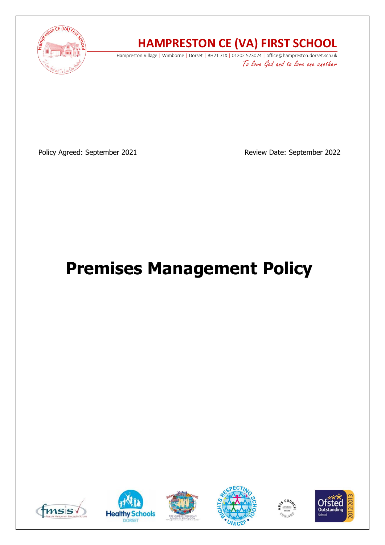

# **HAMPRESTON CE (VA) FIRST SCHOOL**

Hampreston Village | Wimborne | Dorset | BH21 7LX | 01202 573074 | office@hampreston.dorset.sch.uk To love God and to love one another

Policy Agreed: September 2021 and a Review Date: September 2022

# **Premises Management Policy**











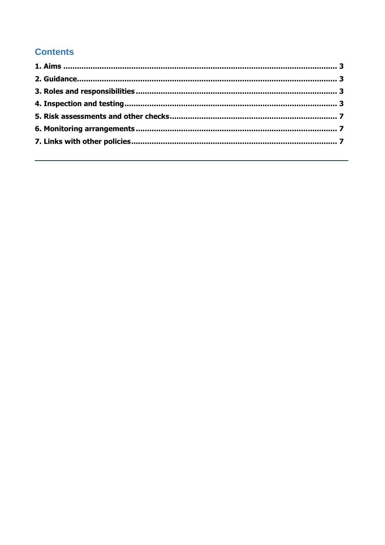## **Contents**

<span id="page-1-0"></span>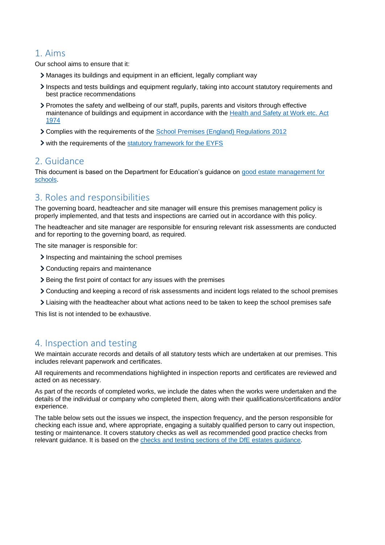#### 1. Aims

Our school aims to ensure that it:

- Manages its buildings and equipment in an efficient, legally compliant way
- Inspects and tests buildings and equipment regularly, taking into account statutory requirements and best practice recommendations
- Promotes the safety and wellbeing of our staff, pupils, parents and visitors through effective maintenance of buildings and equipment in accordance with the [Health and Safety at Work etc. Act](https://www.legislation.gov.uk/ukpga/1974/37/contents)  [1974](https://www.legislation.gov.uk/ukpga/1974/37/contents)
- Complies with the requirements of the [School Premises \(England\) Regulations 2012](http://www.legislation.gov.uk/uksi/2012/1943/contents/made)
- If with the requirements of the [statutory framework for the EYFS](https://www.gov.uk/government/publications/early-years-foundation-stage-framework--2)

#### <span id="page-2-0"></span>2. Guidance

This document is based on the Department for Education's guidance on [good estate management for](https://www.gov.uk/guidance/good-estate-management-for-schools)  [schools.](https://www.gov.uk/guidance/good-estate-management-for-schools)

#### <span id="page-2-1"></span>3. Roles and responsibilities

The governing board, headteacher and site manager will ensure this premises management policy is properly implemented, and that tests and inspections are carried out in accordance with this policy.

The headteacher and site manager are responsible for ensuring relevant risk assessments are conducted and for reporting to the governing board, as required.

The site manager is responsible for:

- Inspecting and maintaining the school premises
- Conducting repairs and maintenance
- Being the first point of contact for any issues with the premises
- Conducting and keeping a record of risk assessments and incident logs related to the school premises
- Liaising with the headteacher about what actions need to be taken to keep the school premises safe

This list is not intended to be exhaustive.

#### <span id="page-2-2"></span>4. Inspection and testing

We maintain accurate records and details of all statutory tests which are undertaken at our premises. This includes relevant paperwork and certificates.

All requirements and recommendations highlighted in inspection reports and certificates are reviewed and acted on as necessary.

As part of the records of completed works, we include the dates when the works were undertaken and the details of the individual or company who completed them, along with their qualifications/certifications and/or experience.

The table below sets out the issues we inspect, the inspection frequency, and the person responsible for checking each issue and, where appropriate, engaging a suitably qualified person to carry out inspection, testing or maintenance. It covers statutory checks as well as recommended good practice checks from relevant guidance. It is based on the [checks and testing sections of the DfE estates guidance.](https://www.gov.uk/guidance/good-estate-management-for-schools/health-and-safety)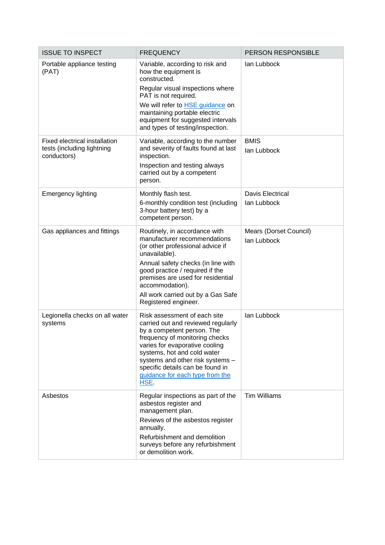| <b>ISSUE TO INSPECT</b>                                                    | <b>FREQUENCY</b>                                                                                                                                                                                                                                                                                                       | PERSON RESPONSIBLE                    |
|----------------------------------------------------------------------------|------------------------------------------------------------------------------------------------------------------------------------------------------------------------------------------------------------------------------------------------------------------------------------------------------------------------|---------------------------------------|
| Portable appliance testing<br>(PAT)                                        | Variable, according to risk and<br>how the equipment is<br>constructed.<br>Regular visual inspections where<br>PAT is not required.<br>We will refer to <b>HSE</b> guidance on<br>maintaining portable electric<br>equipment for suggested intervals<br>and types of testing/inspection.                               | lan Lubbock                           |
| Fixed electrical installation<br>tests (including lightning<br>conductors) | Variable, according to the number<br>and severity of faults found at last<br>inspection.<br>Inspection and testing always<br>carried out by a competent<br>person.                                                                                                                                                     | <b>BMIS</b><br>lan Lubbock            |
| <b>Emergency lighting</b>                                                  | Monthly flash test.<br>6-monthly condition test (including<br>3-hour battery test) by a<br>competent person.                                                                                                                                                                                                           | Davis Electrical<br>lan Lubbock       |
| Gas appliances and fittings                                                | Routinely, in accordance with<br>manufacturer recommendations<br>(or other professional advice if<br>unavailable).<br>Annual safety checks (in line with<br>good practice / required if the<br>premises are used for residential<br>accommodation).<br>All work carried out by a Gas Safe<br>Registered engineer.      | Mears (Dorset Council)<br>lan Lubbock |
| Legionella checks on all water<br>systems                                  | Risk assessment of each site<br>carried out and reviewed regularly<br>by a competent person. The<br>frequency of monitoring checks<br>varies for evaporative cooling<br>systems, hot and cold water<br>systems and other risk systems -<br>specific details can be found in<br>guidance for each type from the<br>HSE. | lan Lubbock                           |
| Asbestos                                                                   | Regular inspections as part of the<br>asbestos register and<br>management plan.<br>Reviews of the asbestos register<br>annually.<br>Refurbishment and demolition<br>surveys before any refurbishment<br>or demolition work.                                                                                            | <b>Tim Williams</b>                   |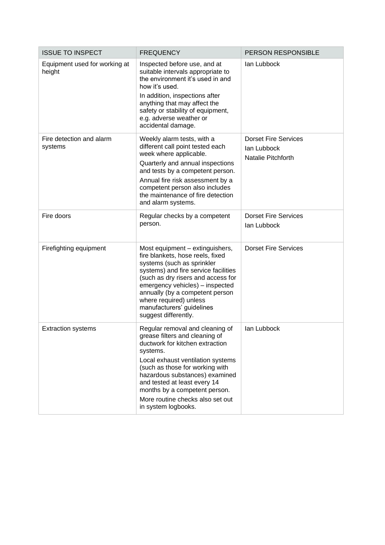| <b>ISSUE TO INSPECT</b>                 | <b>FREQUENCY</b>                                                                                                                                                                                                                                                                                                                                       | PERSON RESPONSIBLE                                               |
|-----------------------------------------|--------------------------------------------------------------------------------------------------------------------------------------------------------------------------------------------------------------------------------------------------------------------------------------------------------------------------------------------------------|------------------------------------------------------------------|
| Equipment used for working at<br>height | Inspected before use, and at<br>suitable intervals appropriate to<br>the environment it's used in and<br>how it's used.<br>In addition, inspections after<br>anything that may affect the<br>safety or stability of equipment,<br>e.g. adverse weather or<br>accidental damage.                                                                        | lan Lubbock                                                      |
| Fire detection and alarm<br>systems     | Weekly alarm tests, with a<br>different call point tested each<br>week where applicable.<br>Quarterly and annual inspections<br>and tests by a competent person.<br>Annual fire risk assessment by a<br>competent person also includes<br>the maintenance of fire detection<br>and alarm systems.                                                      | <b>Dorset Fire Services</b><br>lan Lubbock<br>Natalie Pitchforth |
| Fire doors                              | Regular checks by a competent<br>person.                                                                                                                                                                                                                                                                                                               | <b>Dorset Fire Services</b><br>lan Lubbock                       |
| Firefighting equipment                  | Most equipment - extinguishers,<br>fire blankets, hose reels, fixed<br>systems (such as sprinkler<br>systems) and fire service facilities<br>(such as dry risers and access for<br>emergency vehicles) - inspected<br>annually (by a competent person<br>where required) unless<br>manufacturers' guidelines<br>suggest differently.                   | <b>Dorset Fire Services</b>                                      |
| <b>Extraction systems</b>               | Regular removal and cleaning of<br>grease filters and cleaning of<br>ductwork for kitchen extraction<br>systems.<br>Local exhaust ventilation systems<br>(such as those for working with<br>hazardous substances) examined<br>and tested at least every 14<br>months by a competent person.<br>More routine checks also set out<br>in system logbooks. | lan Lubbock                                                      |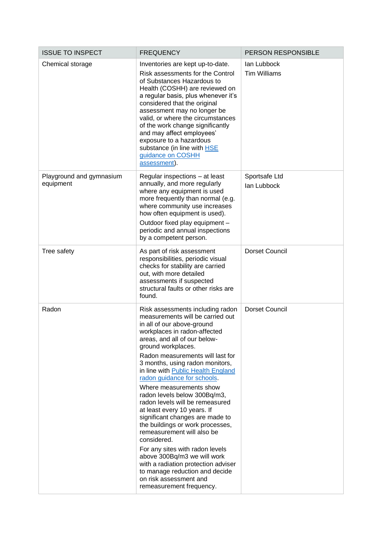| <b>ISSUE TO INSPECT</b>               | <b>FREQUENCY</b>                                                                                                                                                                                                                                                                                                                                                                                                                                                                                                                                                                                                                                                                                                                                                                       | PERSON RESPONSIBLE                 |
|---------------------------------------|----------------------------------------------------------------------------------------------------------------------------------------------------------------------------------------------------------------------------------------------------------------------------------------------------------------------------------------------------------------------------------------------------------------------------------------------------------------------------------------------------------------------------------------------------------------------------------------------------------------------------------------------------------------------------------------------------------------------------------------------------------------------------------------|------------------------------------|
| Chemical storage                      | Inventories are kept up-to-date.<br>Risk assessments for the Control<br>of Substances Hazardous to<br>Health (COSHH) are reviewed on<br>a regular basis, plus whenever it's<br>considered that the original<br>assessment may no longer be<br>valid, or where the circumstances<br>of the work change significantly<br>and may affect employees'<br>exposure to a hazardous<br>substance (in line with <b>HSE</b><br>guidance on COSHH<br>assessment).                                                                                                                                                                                                                                                                                                                                 | lan Lubbock<br><b>Tim Williams</b> |
| Playground and gymnasium<br>equipment | Regular inspections - at least<br>annually, and more regularly<br>where any equipment is used<br>more frequently than normal (e.g.<br>where community use increases<br>how often equipment is used).<br>Outdoor fixed play equipment -<br>periodic and annual inspections<br>by a competent person.                                                                                                                                                                                                                                                                                                                                                                                                                                                                                    | Sportsafe Ltd<br>lan Lubbock       |
| Tree safety                           | As part of risk assessment<br>responsibilities, periodic visual<br>checks for stability are carried<br>out, with more detailed<br>assessments if suspected<br>structural faults or other risks are<br>found.                                                                                                                                                                                                                                                                                                                                                                                                                                                                                                                                                                           | <b>Dorset Council</b>              |
| Radon                                 | Risk assessments including radon<br>measurements will be carried out<br>in all of our above-ground<br>workplaces in radon-affected<br>areas, and all of our below-<br>ground workplaces.<br>Radon measurements will last for<br>3 months, using radon monitors,<br>in line with Public Health England<br>radon guidance for schools.<br>Where measurements show<br>radon levels below 300Bq/m3,<br>radon levels will be remeasured<br>at least every 10 years. If<br>significant changes are made to<br>the buildings or work processes,<br>remeasurement will also be<br>considered.<br>For any sites with radon levels<br>above 300Bq/m3 we will work<br>with a radiation protection adviser<br>to manage reduction and decide<br>on risk assessment and<br>remeasurement frequency. | <b>Dorset Council</b>              |